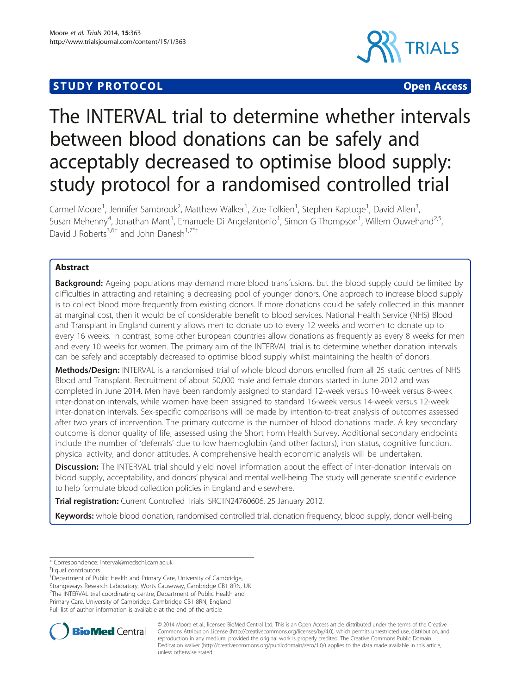# **STUDY PROTOCOL CONSUMING THE RESERVE ACCESS**



# The INTERVAL trial to determine whether intervals between blood donations can be safely and acceptably decreased to optimise blood supply: study protocol for a randomised controlled trial

Carmel Moore<sup>1</sup>, Jennifer Sambrook<sup>2</sup>, Matthew Walker<sup>1</sup>, Zoe Tolkien<sup>1</sup>, Stephen Kaptoge<sup>1</sup>, David Allen<sup>3</sup> , Susan Mehenny<sup>4</sup>, Jonathan Mant<sup>1</sup>, Emanuele Di Angelantonio<sup>1</sup>, Simon G Thompson<sup>1</sup>, Willem Ouwehand<sup>2,5</sup>, David J Roberts<sup>3,6†</sup> and John Danesh<sup>1,7\*†</sup>

# Abstract

**Background:** Ageing populations may demand more blood transfusions, but the blood supply could be limited by difficulties in attracting and retaining a decreasing pool of younger donors. One approach to increase blood supply is to collect blood more frequently from existing donors. If more donations could be safely collected in this manner at marginal cost, then it would be of considerable benefit to blood services. National Health Service (NHS) Blood and Transplant in England currently allows men to donate up to every 12 weeks and women to donate up to every 16 weeks. In contrast, some other European countries allow donations as frequently as every 8 weeks for men and every 10 weeks for women. The primary aim of the INTERVAL trial is to determine whether donation intervals can be safely and acceptably decreased to optimise blood supply whilst maintaining the health of donors.

Methods/Design: INTERVAL is a randomised trial of whole blood donors enrolled from all 25 static centres of NHS Blood and Transplant. Recruitment of about 50,000 male and female donors started in June 2012 and was completed in June 2014. Men have been randomly assigned to standard 12-week versus 10-week versus 8-week inter-donation intervals, while women have been assigned to standard 16-week versus 14-week versus 12-week inter-donation intervals. Sex-specific comparisons will be made by intention-to-treat analysis of outcomes assessed after two years of intervention. The primary outcome is the number of blood donations made. A key secondary outcome is donor quality of life, assessed using the Short Form Health Survey. Additional secondary endpoints include the number of 'deferrals' due to low haemoglobin (and other factors), iron status, cognitive function, physical activity, and donor attitudes. A comprehensive health economic analysis will be undertaken.

**Discussion:** The INTERVAL trial should yield novel information about the effect of inter-donation intervals on blood supply, acceptability, and donors' physical and mental well-being. The study will generate scientific evidence to help formulate blood collection policies in England and elsewhere.

Trial registration: Current Controlled Trials [ISRCTN24760606](http://www.controlled-trials.com/ISRCTN24760606), 25 January 2012.

Keywords: whole blood donation, randomised controlled trial, donation frequency, blood supply, donor well-being

<sup>1</sup>Department of Public Health and Primary Care, University of Cambridge, Strangeways Research Laboratory, Worts Causeway, Cambridge CB1 8RN, UK <sup>7</sup>The INTERVAL trial coordinating centre, Department of Public Health and Primary Care, University of Cambridge, Cambridge CB1 8RN, England Full list of author information is available at the end of the article



© 2014 Moore et al.; licensee BioMed Central Ltd. This is an Open Access article distributed under the terms of the Creative Commons Attribution License [\(http://creativecommons.org/licenses/by/4.0\)](http://creativecommons.org/licenses/by/4.0), which permits unrestricted use, distribution, and reproduction in any medium, provided the original work is properly credited. The Creative Commons Public Domain Dedication waiver [\(http://creativecommons.org/publicdomain/zero/1.0/](http://creativecommons.org/publicdomain/zero/1.0/)) applies to the data made available in this article, unless otherwise stated.

<sup>\*</sup> Correspondence: [interval@medschl.cam.ac.uk](mailto:interval@medschl.cam.ac.uk) †

Equal contributors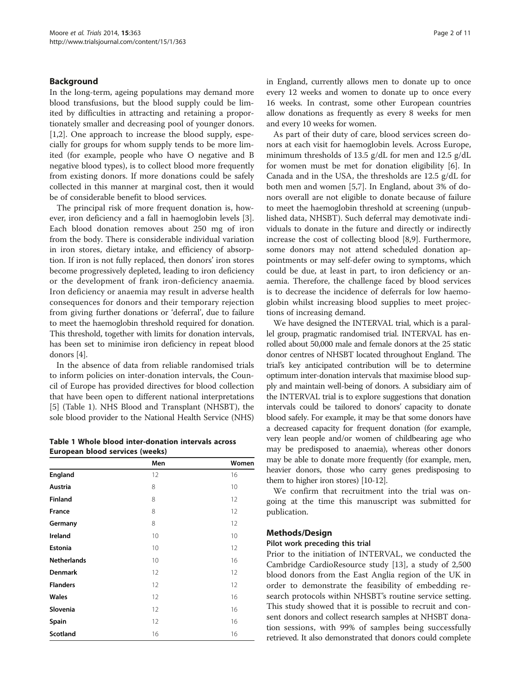#### Background

In the long-term, ageing populations may demand more blood transfusions, but the blood supply could be limited by difficulties in attracting and retaining a proportionately smaller and decreasing pool of younger donors. [[1,2\]](#page-10-0). One approach to increase the blood supply, especially for groups for whom supply tends to be more limited (for example, people who have O negative and B negative blood types), is to collect blood more frequently from existing donors. If more donations could be safely collected in this manner at marginal cost, then it would be of considerable benefit to blood services.

The principal risk of more frequent donation is, however, iron deficiency and a fall in haemoglobin levels [\[3](#page-10-0)]. Each blood donation removes about 250 mg of iron from the body. There is considerable individual variation in iron stores, dietary intake, and efficiency of absorption. If iron is not fully replaced, then donors' iron stores become progressively depleted, leading to iron deficiency or the development of frank iron-deficiency anaemia. Iron deficiency or anaemia may result in adverse health consequences for donors and their temporary rejection from giving further donations or 'deferral', due to failure to meet the haemoglobin threshold required for donation. This threshold, together with limits for donation intervals, has been set to minimise iron deficiency in repeat blood donors [\[4](#page-10-0)].

In the absence of data from reliable randomised trials to inform policies on inter-donation intervals, the Council of Europe has provided directives for blood collection that have been open to different national interpretations [[5\]](#page-10-0) (Table 1). NHS Blood and Transplant (NHSBT), the sole blood provider to the National Health Service (NHS)

|  | Table 1 Whole blood inter-donation intervals across |  |  |
|--|-----------------------------------------------------|--|--|
|  | European blood services (weeks)                     |  |  |

|                    | Men             | Women |
|--------------------|-----------------|-------|
| <b>England</b>     | 12              | 16    |
| <b>Austria</b>     | 8               | 10    |
| <b>Finland</b>     | 8               | 12    |
| <b>France</b>      | 8               | 12    |
| Germany            | 8               | 12    |
| <b>Ireland</b>     | 10              | 10    |
| <b>Estonia</b>     | 10 <sup>°</sup> | 12    |
| <b>Netherlands</b> | 10              | 16    |
| <b>Denmark</b>     | 12              | 12    |
| <b>Flanders</b>    | 12              | 12    |
| <b>Wales</b>       | 12              | 16    |
| Slovenia           | 12              | 16    |
| Spain              | 12              | 16    |
| <b>Scotland</b>    | 16              | 16    |

in England, currently allows men to donate up to once every 12 weeks and women to donate up to once every 16 weeks. In contrast, some other European countries allow donations as frequently as every 8 weeks for men and every 10 weeks for women.

As part of their duty of care, blood services screen donors at each visit for haemoglobin levels. Across Europe, minimum thresholds of 13.5 g/dL for men and 12.5 g/dL for women must be met for donation eligibility [\[6](#page-10-0)]. In Canada and in the USA, the thresholds are 12.5 g/dL for both men and women [[5,7\]](#page-10-0). In England, about 3% of donors overall are not eligible to donate because of failure to meet the haemoglobin threshold at screening (unpublished data, NHSBT). Such deferral may demotivate individuals to donate in the future and directly or indirectly increase the cost of collecting blood [\[8,9](#page-10-0)]. Furthermore, some donors may not attend scheduled donation appointments or may self-defer owing to symptoms, which could be due, at least in part, to iron deficiency or anaemia. Therefore, the challenge faced by blood services is to decrease the incidence of deferrals for low haemoglobin whilst increasing blood supplies to meet projections of increasing demand.

We have designed the INTERVAL trial, which is a parallel group, pragmatic randomised trial. INTERVAL has enrolled about 50,000 male and female donors at the 25 static donor centres of NHSBT located throughout England. The trial's key anticipated contribution will be to determine optimum inter-donation intervals that maximise blood supply and maintain well-being of donors. A subsidiary aim of the INTERVAL trial is to explore suggestions that donation intervals could be tailored to donors' capacity to donate blood safely. For example, it may be that some donors have a decreased capacity for frequent donation (for example, very lean people and/or women of childbearing age who may be predisposed to anaemia), whereas other donors may be able to donate more frequently (for example, men, heavier donors, those who carry genes predisposing to them to higher iron stores) [\[10-12](#page-10-0)].

We confirm that recruitment into the trial was ongoing at the time this manuscript was submitted for publication.

#### Methods/Design

#### Pilot work preceding this trial

Prior to the initiation of INTERVAL, we conducted the Cambridge CardioResource study [\[13](#page-10-0)], a study of 2,500 blood donors from the East Anglia region of the UK in order to demonstrate the feasibility of embedding research protocols within NHSBT's routine service setting. This study showed that it is possible to recruit and consent donors and collect research samples at NHSBT donation sessions, with 99% of samples being successfully retrieved. It also demonstrated that donors could complete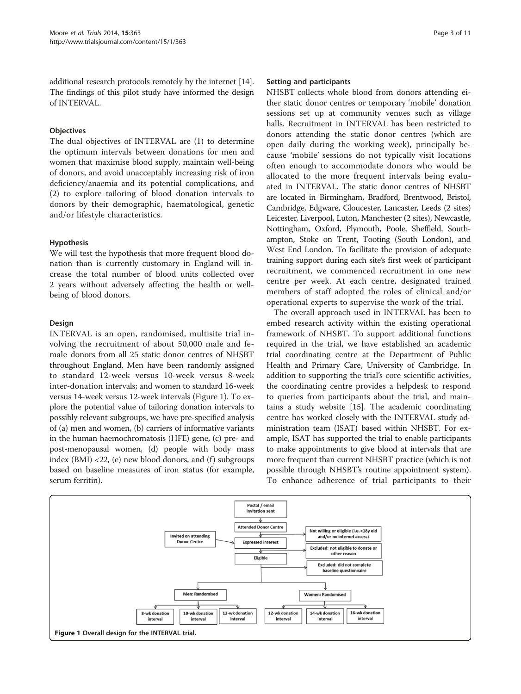additional research protocols remotely by the internet [\[14](#page-10-0)]. The findings of this pilot study have informed the design of INTERVAL.

# **Objectives**

The dual objectives of INTERVAL are (1) to determine the optimum intervals between donations for men and women that maximise blood supply, maintain well-being of donors, and avoid unacceptably increasing risk of iron deficiency/anaemia and its potential complications, and (2) to explore tailoring of blood donation intervals to donors by their demographic, haematological, genetic and/or lifestyle characteristics.

# Hypothesis

We will test the hypothesis that more frequent blood donation than is currently customary in England will increase the total number of blood units collected over 2 years without adversely affecting the health or wellbeing of blood donors.

# Design

INTERVAL is an open, randomised, multisite trial involving the recruitment of about 50,000 male and female donors from all 25 static donor centres of NHSBT throughout England. Men have been randomly assigned to standard 12-week versus 10-week versus 8-week inter-donation intervals; and women to standard 16-week versus 14-week versus 12-week intervals (Figure 1). To explore the potential value of tailoring donation intervals to possibly relevant subgroups, we have pre-specified analysis of (a) men and women, (b) carriers of informative variants in the human haemochromatosis (HFE) gene, (c) pre- and post-menopausal women, (d) people with body mass index  $(BMI)$  <22, (e) new blood donors, and  $(f)$  subgroups based on baseline measures of iron status (for example, serum ferritin).

#### Setting and participants

NHSBT collects whole blood from donors attending either static donor centres or temporary 'mobile' donation sessions set up at community venues such as village halls. Recruitment in INTERVAL has been restricted to donors attending the static donor centres (which are open daily during the working week), principally because 'mobile' sessions do not typically visit locations often enough to accommodate donors who would be allocated to the more frequent intervals being evaluated in INTERVAL. The static donor centres of NHSBT are located in Birmingham, Bradford, Brentwood, Bristol, Cambridge, Edgware, Gloucester, Lancaster, Leeds (2 sites) Leicester, Liverpool, Luton, Manchester (2 sites), Newcastle, Nottingham, Oxford, Plymouth, Poole, Sheffield, Southampton, Stoke on Trent, Tooting (South London), and West End London. To facilitate the provision of adequate training support during each site's first week of participant recruitment, we commenced recruitment in one new centre per week. At each centre, designated trained members of staff adopted the roles of clinical and/or operational experts to supervise the work of the trial.

The overall approach used in INTERVAL has been to embed research activity within the existing operational framework of NHSBT. To support additional functions required in the trial, we have established an academic trial coordinating centre at the Department of Public Health and Primary Care, University of Cambridge. In addition to supporting the trial's core scientific activities, the coordinating centre provides a helpdesk to respond to queries from participants about the trial, and maintains a study website [\[15\]](#page-10-0). The academic coordinating centre has worked closely with the INTERVAL study administration team (ISAT) based within NHSBT. For example, ISAT has supported the trial to enable participants to make appointments to give blood at intervals that are more frequent than current NHSBT practice (which is not possible through NHSBT's routine appointment system). To enhance adherence of trial participants to their

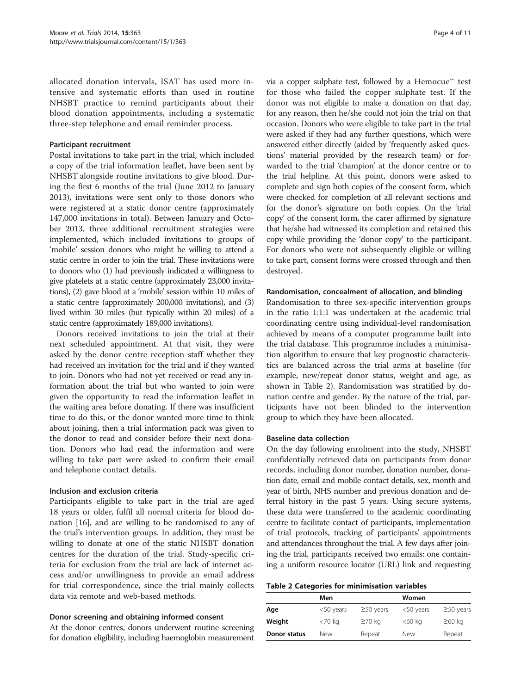allocated donation intervals, ISAT has used more intensive and systematic efforts than used in routine NHSBT practice to remind participants about their blood donation appointments, including a systematic three-step telephone and email reminder process.

#### Participant recruitment

Postal invitations to take part in the trial, which included a copy of the trial information leaflet, have been sent by NHSBT alongside routine invitations to give blood. During the first 6 months of the trial (June 2012 to January 2013), invitations were sent only to those donors who were registered at a static donor centre (approximately 147,000 invitations in total). Between January and October 2013, three additional recruitment strategies were implemented, which included invitations to groups of 'mobile' session donors who might be willing to attend a static centre in order to join the trial. These invitations were to donors who (1) had previously indicated a willingness to give platelets at a static centre (approximately 23,000 invitations), (2) gave blood at a 'mobile' session within 10 miles of a static centre (approximately 200,000 invitations), and (3) lived within 30 miles (but typically within 20 miles) of a static centre (approximately 189,000 invitations).

Donors received invitations to join the trial at their next scheduled appointment. At that visit, they were asked by the donor centre reception staff whether they had received an invitation for the trial and if they wanted to join. Donors who had not yet received or read any information about the trial but who wanted to join were given the opportunity to read the information leaflet in the waiting area before donating. If there was insufficient time to do this, or the donor wanted more time to think about joining, then a trial information pack was given to the donor to read and consider before their next donation. Donors who had read the information and were willing to take part were asked to confirm their email and telephone contact details.

#### Inclusion and exclusion criteria

Participants eligible to take part in the trial are aged 18 years or older, fulfil all normal criteria for blood donation [[16\]](#page-10-0), and are willing to be randomised to any of the trial's intervention groups. In addition, they must be willing to donate at one of the static NHSBT donation centres for the duration of the trial. Study-specific criteria for exclusion from the trial are lack of internet access and/or unwillingness to provide an email address for trial correspondence, since the trial mainly collects data via remote and web-based methods.

#### Donor screening and obtaining informed consent

At the donor centres, donors underwent routine screening for donation eligibility, including haemoglobin measurement via a copper sulphate test, followed by a Hemocue™ test for those who failed the copper sulphate test. If the donor was not eligible to make a donation on that day, for any reason, then he/she could not join the trial on that occasion. Donors who were eligible to take part in the trial were asked if they had any further questions, which were answered either directly (aided by 'frequently asked questions' material provided by the research team) or forwarded to the trial 'champion' at the donor centre or to the trial helpline. At this point, donors were asked to complete and sign both copies of the consent form, which were checked for completion of all relevant sections and for the donor's signature on both copies. On the 'trial copy' of the consent form, the carer affirmed by signature that he/she had witnessed its completion and retained this copy while providing the 'donor copy' to the participant. For donors who were not subsequently eligible or willing to take part, consent forms were crossed through and then destroyed.

#### Randomisation, concealment of allocation, and blinding

Randomisation to three sex-specific intervention groups in the ratio 1:1:1 was undertaken at the academic trial coordinating centre using individual-level randomisation achieved by means of a computer programme built into the trial database. This programme includes a minimisation algorithm to ensure that key prognostic characteristics are balanced across the trial arms at baseline (for example, new/repeat donor status, weight and age, as shown in Table 2). Randomisation was stratified by donation centre and gender. By the nature of the trial, participants have not been blinded to the intervention group to which they have been allocated.

#### Baseline data collection

On the day following enrolment into the study, NHSBT confidentially retrieved data on participants from donor records, including donor number, donation number, donation date, email and mobile contact details, sex, month and year of birth, NHS number and previous donation and deferral history in the past 5 years. Using secure systems, these data were transferred to the academic coordinating centre to facilitate contact of participants, implementation of trial protocols, tracking of participants' appointments and attendances throughout the trial. A few days after joining the trial, participants received two emails: one containing a uniform resource locator (URL) link and requesting

#### Table 2 Categories for minimisation variables

|              | Men          |                 | Women        |                 |
|--------------|--------------|-----------------|--------------|-----------------|
| Age          | $<$ 50 years | $\geq$ 50 years | $<$ 50 years | $\geq$ 50 years |
| Weight       | <70 kg       | $\geq 70$ kg    | <60 kg       | $\geq 60$ kg    |
| Donor status | New          | Repeat          | New          | Repeat          |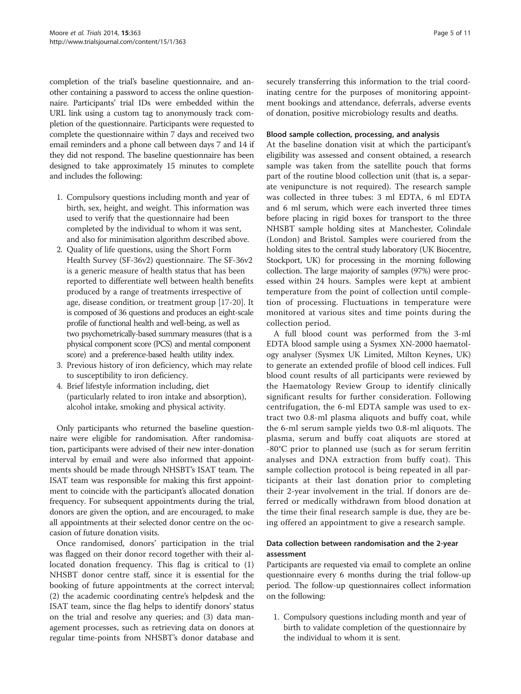completion of the trial's baseline questionnaire, and another containing a password to access the online questionnaire. Participants' trial IDs were embedded within the URL link using a custom tag to anonymously track completion of the questionnaire. Participants were requested to complete the questionnaire within 7 days and received two email reminders and a phone call between days 7 and 14 if they did not respond. The baseline questionnaire has been designed to take approximately 15 minutes to complete and includes the following:

- 1. Compulsory questions including month and year of birth, sex, height, and weight. This information was used to verify that the questionnaire had been completed by the individual to whom it was sent, and also for minimisation algorithm described above.
- 2. Quality of life questions, using the Short Form Health Survey (SF-36v2) questionnaire. The SF-36v2 is a generic measure of health status that has been reported to differentiate well between health benefits produced by a range of treatments irrespective of age, disease condition, or treatment group [[17](#page-10-0)-[20](#page-10-0)]. It is composed of 36 questions and produces an eight-scale profile of functional health and well-being, as well as two psychometrically-based summary measures (that is a physical component score (PCS) and mental component score) and a preference-based health utility index.
- 3. Previous history of iron deficiency, which may relate to susceptibility to iron deficiency.
- 4. Brief lifestyle information including, diet (particularly related to iron intake and absorption), alcohol intake, smoking and physical activity.

Only participants who returned the baseline questionnaire were eligible for randomisation. After randomisation, participants were advised of their new inter-donation interval by email and were also informed that appointments should be made through NHSBT's ISAT team. The ISAT team was responsible for making this first appointment to coincide with the participant's allocated donation frequency. For subsequent appointments during the trial, donors are given the option, and are encouraged, to make all appointments at their selected donor centre on the occasion of future donation visits.

Once randomised, donors' participation in the trial was flagged on their donor record together with their allocated donation frequency. This flag is critical to (1) NHSBT donor centre staff, since it is essential for the booking of future appointments at the correct interval; (2) the academic coordinating centre's helpdesk and the ISAT team, since the flag helps to identify donors' status on the trial and resolve any queries; and (3) data management processes, such as retrieving data on donors at regular time-points from NHSBT's donor database and securely transferring this information to the trial coordinating centre for the purposes of monitoring appointment bookings and attendance, deferrals, adverse events of donation, positive microbiology results and deaths.

#### Blood sample collection, processing, and analysis

At the baseline donation visit at which the participant's eligibility was assessed and consent obtained, a research sample was taken from the satellite pouch that forms part of the routine blood collection unit (that is, a separate venipuncture is not required). The research sample was collected in three tubes: 3 ml EDTA, 6 ml EDTA and 6 ml serum, which were each inverted three times before placing in rigid boxes for transport to the three NHSBT sample holding sites at Manchester, Colindale (London) and Bristol. Samples were couriered from the holding sites to the central study laboratory (UK Biocentre, Stockport, UK) for processing in the morning following collection. The large majority of samples (97%) were processed within 24 hours. Samples were kept at ambient temperature from the point of collection until completion of processing. Fluctuations in temperature were monitored at various sites and time points during the collection period.

A full blood count was performed from the 3-ml EDTA blood sample using a Sysmex XN-2000 haematology analyser (Sysmex UK Limited, Milton Keynes, UK) to generate an extended profile of blood cell indices. Full blood count results of all participants were reviewed by the Haematology Review Group to identify clinically significant results for further consideration. Following centrifugation, the 6-ml EDTA sample was used to extract two 0.8-ml plasma aliquots and buffy coat, while the 6-ml serum sample yields two 0.8-ml aliquots. The plasma, serum and buffy coat aliquots are stored at -80°C prior to planned use (such as for serum ferritin analyses and DNA extraction from buffy coat). This sample collection protocol is being repeated in all participants at their last donation prior to completing their 2-year involvement in the trial. If donors are deferred or medically withdrawn from blood donation at the time their final research sample is due, they are being offered an appointment to give a research sample.

# Data collection between randomisation and the 2-year assessment

Participants are requested via email to complete an online questionnaire every 6 months during the trial follow-up period. The follow-up questionnaires collect information on the following:

1. Compulsory questions including month and year of birth to validate completion of the questionnaire by the individual to whom it is sent.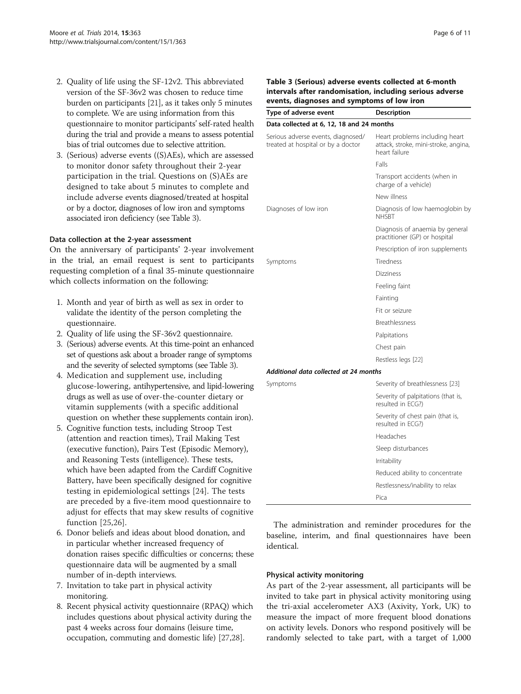- 2. Quality of life using the SF-12v2. This abbreviated version of the SF-36v2 was chosen to reduce time burden on participants [[21](#page-10-0)], as it takes only 5 minutes to complete. We are using information from this questionnaire to monitor participants' self-rated health during the trial and provide a means to assess potential bias of trial outcomes due to selective attrition.
- 3. (Serious) adverse events ((S)AEs), which are assessed to monitor donor safety throughout their 2-year participation in the trial. Questions on (S)AEs are designed to take about 5 minutes to complete and include adverse events diagnosed/treated at hospital or by a doctor, diagnoses of low iron and symptoms associated iron deficiency (see Table 3).

#### Data collection at the 2-year assessment

On the anniversary of participants' 2-year involvement in the trial, an email request is sent to participants requesting completion of a final 35-minute questionnaire which collects information on the following:

- 1. Month and year of birth as well as sex in order to validate the identity of the person completing the questionnaire.
- 2. Quality of life using the SF-36v2 questionnaire.
- 3. (Serious) adverse events. At this time-point an enhanced set of questions ask about a broader range of symptoms and the severity of selected symptoms (see Table 3).
- 4. Medication and supplement use, including glucose-lowering, antihypertensive, and lipid-lowering drugs as well as use of over-the-counter dietary or vitamin supplements (with a specific additional question on whether these supplements contain iron).
- 5. Cognitive function tests, including Stroop Test (attention and reaction times), Trail Making Test (executive function), Pairs Test (Episodic Memory), and Reasoning Tests (intelligence). These tests, which have been adapted from the Cardiff Cognitive Battery, have been specifically designed for cognitive testing in epidemiological settings [\[24](#page-10-0)]. The tests are preceded by a five-item mood questionnaire to adjust for effects that may skew results of cognitive function [\[25](#page-10-0),[26\]](#page-10-0).
- 6. Donor beliefs and ideas about blood donation, and in particular whether increased frequency of donation raises specific difficulties or concerns; these questionnaire data will be augmented by a small number of in-depth interviews.
- 7. Invitation to take part in physical activity monitoring.
- 8. Recent physical activity questionnaire (RPAQ) which includes questions about physical activity during the past 4 weeks across four domains (leisure time, occupation, commuting and domestic life) [\[27,28](#page-10-0)].

# Table 3 (Serious) adverse events collected at 6-month intervals after randomisation, including serious adverse events, diagnoses and symptoms of low iron

| Type of adverse event                                                    | Description                                                                             |  |
|--------------------------------------------------------------------------|-----------------------------------------------------------------------------------------|--|
| Data collected at 6, 12, 18 and 24 months                                |                                                                                         |  |
| Serious adverse events, diagnosed/<br>treated at hospital or by a doctor | Heart problems including heart<br>attack, stroke, mini-stroke, angina,<br>heart failure |  |
|                                                                          | Falls                                                                                   |  |
|                                                                          | Transport accidents (when in<br>charge of a vehicle)                                    |  |
|                                                                          | New illness                                                                             |  |
| Diagnoses of low iron                                                    | Diagnosis of low haemoglobin by<br>NHSBT                                                |  |
|                                                                          | Diagnosis of anaemia by general<br>practitioner (GP) or hospital                        |  |
|                                                                          | Prescription of iron supplements                                                        |  |
| Symptoms                                                                 | <b>Tiredness</b>                                                                        |  |
|                                                                          | <b>Dizziness</b>                                                                        |  |
|                                                                          | Feeling faint                                                                           |  |
|                                                                          | Fainting                                                                                |  |
|                                                                          | Fit or seizure                                                                          |  |
|                                                                          | Breathlessness                                                                          |  |
|                                                                          | Palpitations                                                                            |  |
|                                                                          | Chest pain                                                                              |  |
|                                                                          | Restless legs [22]                                                                      |  |
| Additional data collected at 24 months                                   |                                                                                         |  |
| Symptoms                                                                 | Severity of breathlessness [23]                                                         |  |
|                                                                          | Severity of palpitations (that is,<br>resulted in ECG?)                                 |  |
|                                                                          | Severity of chest pain (that is,<br>resulted in ECG?)                                   |  |
|                                                                          | Headaches                                                                               |  |
|                                                                          | Sleep disturbances                                                                      |  |
|                                                                          | <i>Irritability</i>                                                                     |  |
|                                                                          | Reduced ability to concentrate                                                          |  |
|                                                                          | Restlessness/inability to relax                                                         |  |
|                                                                          | Pica                                                                                    |  |
|                                                                          |                                                                                         |  |

The administration and reminder procedures for the baseline, interim, and final questionnaires have been identical.

#### Physical activity monitoring

As part of the 2-year assessment, all participants will be invited to take part in physical activity monitoring using the tri-axial accelerometer AX3 (Axivity, York, UK) to measure the impact of more frequent blood donations on activity levels. Donors who respond positively will be randomly selected to take part, with a target of 1,000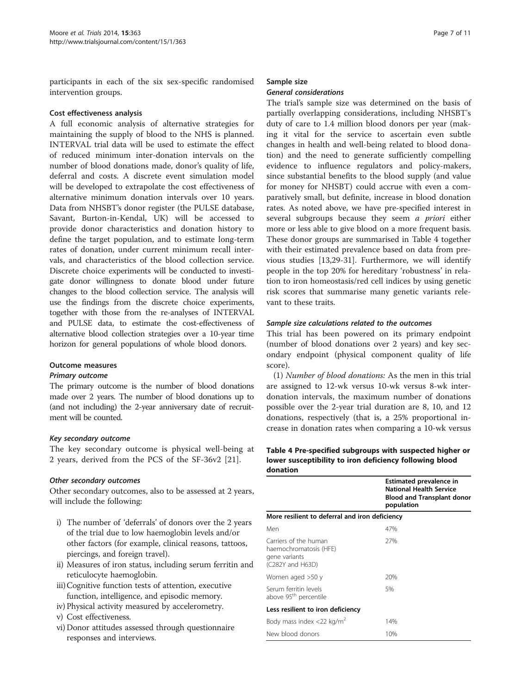participants in each of the six sex-specific randomised intervention groups.

#### Cost effectiveness analysis

A full economic analysis of alternative strategies for maintaining the supply of blood to the NHS is planned. INTERVAL trial data will be used to estimate the effect of reduced minimum inter-donation intervals on the number of blood donations made, donor's quality of life, deferral and costs. A discrete event simulation model will be developed to extrapolate the cost effectiveness of alternative minimum donation intervals over 10 years. Data from NHSBT's donor register (the PULSE database, Savant, Burton-in-Kendal, UK) will be accessed to provide donor characteristics and donation history to define the target population, and to estimate long-term rates of donation, under current minimum recall intervals, and characteristics of the blood collection service. Discrete choice experiments will be conducted to investigate donor willingness to donate blood under future changes to the blood collection service. The analysis will use the findings from the discrete choice experiments, together with those from the re-analyses of INTERVAL and PULSE data, to estimate the cost-effectiveness of alternative blood collection strategies over a 10-year time horizon for general populations of whole blood donors.

#### Outcome measures

#### Primary outcome

The primary outcome is the number of blood donations made over 2 years. The number of blood donations up to (and not including) the 2-year anniversary date of recruitment will be counted.

# Key secondary outcome

The key secondary outcome is physical well-being at 2 years, derived from the PCS of the SF-36v2 [\[21](#page-10-0)].

#### Other secondary outcomes

Other secondary outcomes, also to be assessed at 2 years, will include the following:

- i) The number of 'deferrals' of donors over the 2 years of the trial due to low haemoglobin levels and/or other factors (for example, clinical reasons, tattoos, piercings, and foreign travel).
- ii) Measures of iron status, including serum ferritin and reticulocyte haemoglobin.
- iii)Cognitive function tests of attention, executive function, intelligence, and episodic memory.
- iv) Physical activity measured by accelerometry.
- v) Cost effectiveness.
- vi) Donor attitudes assessed through questionnaire responses and interviews.

#### Sample size

### General considerations

The trial's sample size was determined on the basis of partially overlapping considerations, including NHSBT's duty of care to 1.4 million blood donors per year (making it vital for the service to ascertain even subtle changes in health and well-being related to blood donation) and the need to generate sufficiently compelling evidence to influence regulators and policy-makers, since substantial benefits to the blood supply (and value for money for NHSBT) could accrue with even a comparatively small, but definite, increase in blood donation rates. As noted above, we have pre-specified interest in several subgroups because they seem *a priori* either more or less able to give blood on a more frequent basis. These donor groups are summarised in Table 4 together with their estimated prevalence based on data from previous studies [\[13,29](#page-10-0)-[31\]](#page-10-0). Furthermore, we will identify people in the top 20% for hereditary 'robustness' in relation to iron homeostasis/red cell indices by using genetic risk scores that summarise many genetic variants relevant to these traits.

#### Sample size calculations related to the outcomes

This trial has been powered on its primary endpoint (number of blood donations over 2 years) and key secondary endpoint (physical component quality of life score).

(1) Number of blood donations: As the men in this trial are assigned to 12-wk versus 10-wk versus 8-wk interdonation intervals, the maximum number of donations possible over the 2-year trial duration are 8, 10, and 12 donations, respectively (that is, a 25% proportional increase in donation rates when comparing a 10-wk versus

Table 4 Pre-specified subgroups with suspected higher or lower susceptibility to iron deficiency following blood donation

|                                                                                      | Estimated prevalence in<br><b>National Health Service</b><br><b>Blood and Transplant donor</b><br>population |  |  |  |
|--------------------------------------------------------------------------------------|--------------------------------------------------------------------------------------------------------------|--|--|--|
| More resilient to deferral and iron deficiency                                       |                                                                                                              |  |  |  |
| Men                                                                                  | 47%                                                                                                          |  |  |  |
| Carriers of the human<br>haemochromatosis (HFE)<br>gene variants<br>(C282Y and H63D) | 27%                                                                                                          |  |  |  |
| Women aged >50 y                                                                     | 20%                                                                                                          |  |  |  |
| Serum ferritin levels<br>above 95 <sup>th</sup> percentile                           | 5%                                                                                                           |  |  |  |
| Less resilient to iron deficiency                                                    |                                                                                                              |  |  |  |
| Body mass index <22 kg/m <sup>2</sup>                                                | 14%                                                                                                          |  |  |  |
| New blood donors                                                                     | 10%                                                                                                          |  |  |  |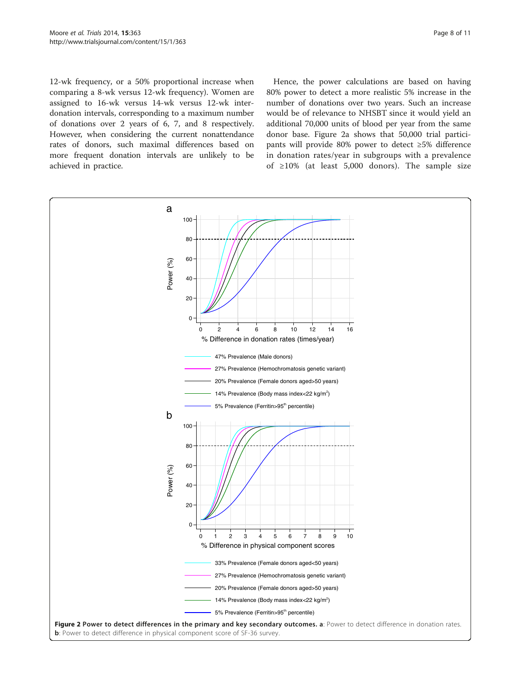<span id="page-7-0"></span>12-wk frequency, or a 50% proportional increase when comparing a 8-wk versus 12-wk frequency). Women are assigned to 16-wk versus 14-wk versus 12-wk interdonation intervals, corresponding to a maximum number of donations over 2 years of 6, 7, and 8 respectively. However, when considering the current nonattendance rates of donors, such maximal differences based on more frequent donation intervals are unlikely to be achieved in practice.

Hence, the power calculations are based on having 80% power to detect a more realistic 5% increase in the number of donations over two years. Such an increase would be of relevance to NHSBT since it would yield an additional 70,000 units of blood per year from the same donor base. Figure 2a shows that 50,000 trial participants will provide 80% power to detect ≥5% difference in donation rates/year in subgroups with a prevalence of ≥10% (at least 5,000 donors). The sample size

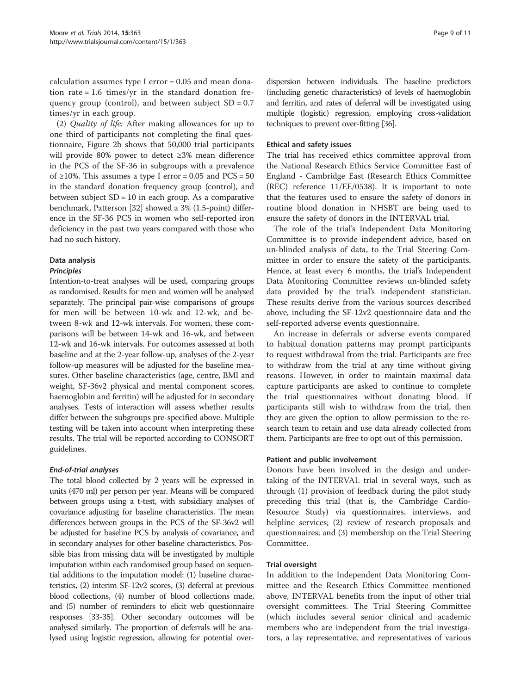calculation assumes type I error = 0.05 and mean donation rate = 1.6 times/yr in the standard donation frequency group (control), and between subject  $SD = 0.7$ times/yr in each group.

(2) Quality of life: After making allowances for up to one third of participants not completing the final questionnaire, Figure [2b](#page-7-0) shows that 50,000 trial participants will provide 80% power to detect ≥3% mean difference in the PCS of the SF-36 in subgroups with a prevalence of  $\geq$ 10%. This assumes a type I error = 0.05 and PCS = 50 in the standard donation frequency group (control), and between subject  $SD = 10$  in each group. As a comparative benchmark, Patterson [[32](#page-10-0)] showed a 3% (1.5-point) difference in the SF-36 PCS in women who self-reported iron deficiency in the past two years compared with those who had no such history.

# Data analysis

#### Principles

Intention-to-treat analyses will be used, comparing groups as randomised. Results for men and women will be analysed separately. The principal pair-wise comparisons of groups for men will be between 10-wk and 12-wk, and between 8-wk and 12-wk intervals. For women, these comparisons will be between 14-wk and 16-wk, and between 12-wk and 16-wk intervals. For outcomes assessed at both baseline and at the 2-year follow-up, analyses of the 2-year follow-up measures will be adjusted for the baseline measures. Other baseline characteristics (age, centre, BMI and weight, SF-36v2 physical and mental component scores, haemoglobin and ferritin) will be adjusted for in secondary analyses. Tests of interaction will assess whether results differ between the subgroups pre-specified above. Multiple testing will be taken into account when interpreting these results. The trial will be reported according to CONSORT guidelines.

# End-of-trial analyses

The total blood collected by 2 years will be expressed in units (470 ml) per person per year. Means will be compared between groups using a t-test, with subsidiary analyses of covariance adjusting for baseline characteristics. The mean differences between groups in the PCS of the SF-36v2 will be adjusted for baseline PCS by analysis of covariance, and in secondary analyses for other baseline characteristics. Possible bias from missing data will be investigated by multiple imputation within each randomised group based on sequential additions to the imputation model: (1) baseline characteristics, (2) interim SF-12v2 scores, (3) deferral at previous blood collections, (4) number of blood collections made, and (5) number of reminders to elicit web questionnaire responses [\[33-35](#page-10-0)]. Other secondary outcomes will be analysed similarly. The proportion of deferrals will be analysed using logistic regression, allowing for potential over-

dispersion between individuals. The baseline predictors (including genetic characteristics) of levels of haemoglobin and ferritin, and rates of deferral will be investigated using multiple (logistic) regression, employing cross-validation techniques to prevent over-fitting [\[36\]](#page-10-0).

#### Ethical and safety issues

The trial has received ethics committee approval from the National Research Ethics Service Committee East of England - Cambridge East (Research Ethics Committee (REC) reference 11/EE/0538). It is important to note that the features used to ensure the safety of donors in routine blood donation in NHSBT are being used to ensure the safety of donors in the INTERVAL trial.

The role of the trial's Independent Data Monitoring Committee is to provide independent advice, based on un-blinded analysis of data, to the Trial Steering Committee in order to ensure the safety of the participants. Hence, at least every 6 months, the trial's Independent Data Monitoring Committee reviews un-blinded safety data provided by the trial's independent statistician. These results derive from the various sources described above, including the SF-12v2 questionnaire data and the self-reported adverse events questionnaire.

An increase in deferrals or adverse events compared to habitual donation patterns may prompt participants to request withdrawal from the trial. Participants are free to withdraw from the trial at any time without giving reasons. However, in order to maintain maximal data capture participants are asked to continue to complete the trial questionnaires without donating blood. If participants still wish to withdraw from the trial, then they are given the option to allow permission to the research team to retain and use data already collected from them. Participants are free to opt out of this permission.

#### Patient and public involvement

Donors have been involved in the design and undertaking of the INTERVAL trial in several ways, such as through (1) provision of feedback during the pilot study preceding this trial (that is, the Cambridge Cardio-Resource Study) via questionnaires, interviews, and helpline services; (2) review of research proposals and questionnaires; and (3) membership on the Trial Steering Committee.

#### Trial oversight

In addition to the Independent Data Monitoring Committee and the Research Ethics Committee mentioned above, INTERVAL benefits from the input of other trial oversight committees. The Trial Steering Committee (which includes several senior clinical and academic members who are independent from the trial investigators, a lay representative, and representatives of various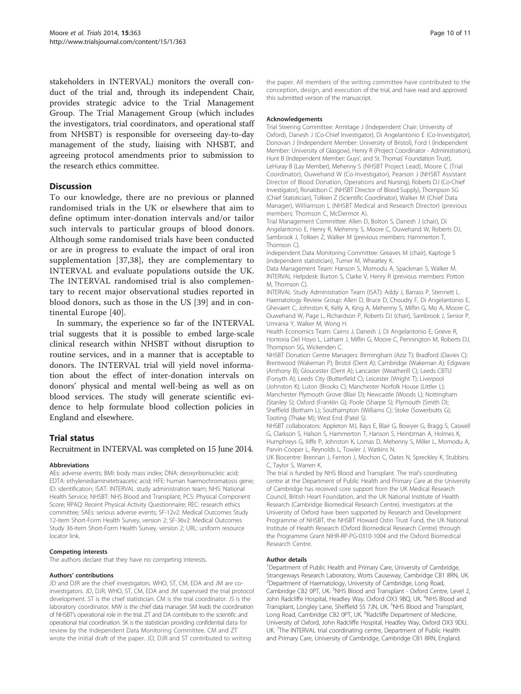stakeholders in INTERVAL) monitors the overall conduct of the trial and, through its independent Chair, provides strategic advice to the Trial Management Group. The Trial Management Group (which includes the investigators, trial coordinators, and operational staff from NHSBT) is responsible for overseeing day-to-day management of the study, liaising with NHSBT, and agreeing protocol amendments prior to submission to the research ethics committee.

#### **Discussion**

To our knowledge, there are no previous or planned randomised trials in the UK or elsewhere that aim to define optimum inter-donation intervals and/or tailor such intervals to particular groups of blood donors. Although some randomised trials have been conducted or are in progress to evaluate the impact of oral iron supplementation [[37,38\]](#page-10-0), they are complementary to INTERVAL and evaluate populations outside the UK. The INTERVAL randomised trial is also complementary to recent major observational studies reported in blood donors, such as those in the US [[39](#page-10-0)] and in continental Europe [\[40](#page-10-0)].

In summary, the experience so far of the INTERVAL trial suggests that it is possible to embed large-scale clinical research within NHSBT without disruption to routine services, and in a manner that is acceptable to donors. The INTERVAL trial will yield novel information about the effect of inter-donation intervals on donors' physical and mental well-being as well as on blood services. The study will generate scientific evidence to help formulate blood collection policies in England and elsewhere.

#### Trial status

#### Recruitment in INTERVAL was completed on 15 June 2014.

#### Abbreviations

AEs: adverse events; BMI: body mass index; DNA: deoxyribonucleic acid; EDTA: ethylenediaminetetraacetic acid; HFE: human haemochromatosis gene; ID: identification; ISAT: INTERVAL study administration team; NHS: National Health Service; NHSBT: NHS Blood and Transplant; PCS: Physical Component Score; RPAQ: Recent Physical Activity Questionnaire; REC: research ethics committee; SAEs: serious adverse events; SF-12v2: Medical Outcomes Study 12-item Short-Form Health Survey, version 2; SF-36v2: Medical Outcomes Study 36-item Short-Form Health Survey, version 2; URL: uniform resource locator link.

#### Competing interests

The authors declare that they have no competing interests.

#### Authors' contributions

JD and DJR are the chief investigators. WHO, ST, CM, EDA and JM are coinvestigators. JD, DJR, WHO, ST, CM, EDA and JM supervised the trial protocol development. ST is the chief statistician. CM is the trial coordinator. JS is the laboratory coordinator. MW is the chief data manager. SM leads the coordination of NHSBT's operational role in the trial. ZT and DA contribute to the scientific and operational trial coordination. SK is the statistician providing confidential data for review by the Independent Data Monitoring Committee. CM and ZT wrote the initial draft of the paper. JD, DJR and ST contributed to writing

the paper. All members of the writing committee have contributed to the conception, design, and execution of the trial, and have read and approved this submitted version of the manuscript.

#### Acknowledgements

Trial Steering Committee: Armitage J (Independent Chair: University of Oxford), Danesh J (Co-Chief Investigator), Di Angelantonio E (Co-Investigator), Donovan J (Independent Member: University of Bristol), Ford I (Independent Member: University of Glasgow), Henry R (Project Coordinator - Administration), Hunt B (Independent Member: Guys', and St. Thomas' Foundation Trust), LeHuray B (Lay Member), Mehenny S (NHSBT Project Lead), Moore C (Trial Coordinator), Ouwehand W (Co-Investigator), Pearson J (NHSBT Assistant Director of Blood Donation, Operations and Nursing), Roberts DJ (Co-Chief Investigator), Ronaldson C (NHSBT Director of Blood Supply), Thompson SG (Chief Statistician), Tolkien Z (Scientific Coordinator), Walker M (Chief Data Manager), Williamson L (NHSBT Medical and Research Director) (previous members: Thomson C, McDermot A).

Trial Management Committee: Allen D, Bolton S, Danesh J (chair), Di Angelantonio E, Henry R, Mehenny S, Moore C, Ouwehand W, Roberts DJ, Sambrook J, Tolkien Z, Walker M (previous members: Hammerton T, Thomson C).

Independent Data Monitoring Committee: Greaves M (chair), Kaptoge S (independent statistician), Turner M, Wheatley K.

Data Management Team: Hanson S, Momodu A, Spackman S, Walker M. INTERVAL Helpdesk: Burton S, Clarke V, Henry R (previous members: Potton M, Thomson C).

INTERVAL Study Administration Team (ISAT): Addy J, Barrass P, Stennett L. Haematology Review Group: Allen D, Bruce D, Choudry F, Di Angelantonio E, Ghevaert C, Johnston K, Kelly A, King A, Mehenny S, Miflin G, Mo A, Moore C, Ouwehand W, Page L, Richardson P, Roberts DJ (chair), Sambrook J, Senior P, Umrania Y, Walker M, Wong H.

Health Economics Team: Cairns J, Danesh J, Di Angelantonio E, Grieve R, Hontoria Del Hoyo L, Latham J, Miflin G, Moore C, Pennington M, Roberts DJ, Thompson SG, Wickenden C.

NHSBT Donation Centre Managers: Birmingham (Aziz T); Bradford (Davies C); Brentwood (Wakeman P); Bristol (Dent A); Cambridge (Wakeman A); Edgware (Anthony B); Gloucester (Dent A); Lancaster (Weatherill C); Leeds CBTU (Forsyth A); Leeds City (Butterfield C); Leicester (Wright T); Liverpool (Johnston K); Luton (Brooks C); Manchester Norfolk House (Littler L); Manchester Plymouth Grove (Blair D); Newcastle (Woods L); Nottingham (Stanley S); Oxford (Franklin G); Poole (Sharpe S); Plymouth (Smith D); Sheffield (Botham L); Southampton (Williams C); Stoke (Sowerbutts G); Tooting (Thake M); West End (Patel S).

NHSBT collaborators: Appleton MJ, Bays E, Blair G, Bowyer G, Bragg S, Caswell G, Clarkson S, Halson S, Hammerton T, Hanson S, Heintzman A, Holmes K, Humphreys G, Iliffe P, Johnston K, Lomas D, Mehenny S, Miller L, Momodu A, Parvin-Cooper L, Reynolds L, Towler J, Watkins N.

UK Biocentre: Brennan J, Fenton J, Mochon C, Oates N, Spreckley K, Stubbins C, Taylor S, Warren K.

The trial is funded by NHS Blood and Transplant. The trial's coordinating centre at the Department of Public Health and Primary Care at the University of Cambridge has received core support from the UK Medical Research Council, British Heart Foundation, and the UK National Institute of Health Research (Cambridge Biomedical Research Centre). Investigators at the University of Oxford have been supported by Research and Development Programme of NHSBT, the NHSBT Howard Ostin Trust Fund, the UK National Institute of Health Research (Oxford Biomedical Research Centre) through the Programme Grant NIHR-RP-PG-0310-1004 and the Oxford Biomedical Research Centre.

#### Author details

<sup>1</sup>Department of Public Health and Primary Care, University of Cambridge, Strangeways Research Laboratory, Worts Causeway, Cambridge CB1 8RN, UK. 2 Department of Haematology, University of Cambridge, Long Road, Cambridge CB2 0PT, UK. <sup>3</sup>NHS Blood and Transplant - Oxford Centre, Level 2, John Radcliffe Hospital, Headley Way, Oxford OX3 9BQ, UK. <sup>4</sup>NHS Blood and Transplant, Longley Lane, Sheffield S5 7JN, UK. <sup>5</sup>NHS Blood and Transplant, Long Road, Cambridge CB2 0PT, UK. <sup>6</sup>Radcliffe Department of Medicine University of Oxford, John Radcliffe Hospital, Headley Way, Oxford OX3 9DU, UK. <sup>7</sup>The INTERVAL trial coordinating centre, Department of Public Health and Primary Care, University of Cambridge, Cambridge CB1 8RN, England.